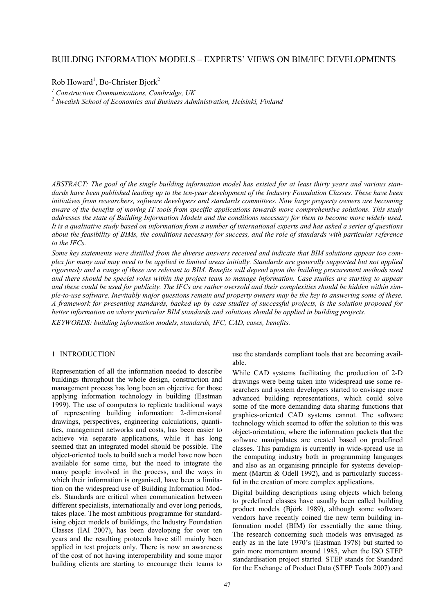# BUILDING INFORMATION MODELS – EXPERTS' VIEWS ON BIM/IFC DEVELOPMENTS

Rob Howard<sup>1</sup>, Bo-Christer Bjork<sup>2</sup>

*1 Construction Communications, Cambridge, UK* 

<sup>2</sup> Swedish School of Economics and Business Administration, Helsinki, Finland

*ABSTRACT: The goal of the single building information model has existed for at least thirty years and various standards have been published leading up to the ten-year development of the Industry Foundation Classes. These have been initiatives from researchers, software developers and standards committees. Now large property owners are becoming aware of the benefits of moving IT tools from specific applications towards more comprehensive solutions. This study addresses the state of Building Information Models and the conditions necessary for them to become more widely used. It is a qualitative study based on information from a number of international experts and has asked a series of questions about the feasibility of BIMs, the conditions necessary for success, and the role of standards with particular reference to the IFCs.* 

*Some key statements were distilled from the diverse answers received and indicate that BIM solutions appear too complex for many and may need to be applied in limited areas initially. Standards are generally supported but not applied rigorously and a range of these are relevant to BIM. Benefits will depend upon the building procurement methods used and there should be special roles within the project team to manage information. Case studies are starting to appear and these could be used for publicity. The IFCs are rather oversold and their complexities should be hidden within simple-to-use software. Inevitably major questions remain and property owners may be the key to answering some of these. A framework for presenting standards, backed up by case studies of successful projects, is the solution proposed for better information on where particular BIM standards and solutions should be applied in building projects.* 

*KEYWORDS: building information models, standards, IFC, CAD, cases, benefits.* 

# 1 INTRODUCTION

Representation of all the information needed to describe buildings throughout the whole design, construction and management process has long been an objective for those applying information technology in building (Eastman 1999). The use of computers to replicate traditional ways of representing building information: 2-dimensional drawings, perspectives, engineering calculations, quantities, management networks and costs, has been easier to achieve via separate applications, while it has long seemed that an integrated model should be possible. The object-oriented tools to build such a model have now been available for some time, but the need to integrate the many people involved in the process, and the ways in which their information is organised, have been a limitation on the widespread use of Building Information Models. Standards are critical when communication between different specialists, internationally and over long periods, takes place. The most ambitious programme for standardising object models of buildings, the Industry Foundation Classes (IAI 2007), has been developing for over ten years and the resulting protocols have still mainly been applied in test projects only. There is now an awareness of the cost of not having interoperability and some major building clients are starting to encourage their teams to

use the standards compliant tools that are becoming available.

While CAD systems facilitating the production of 2-D drawings were being taken into widespread use some researchers and system developers started to envisage more advanced building representations, which could solve some of the more demanding data sharing functions that graphics-oriented CAD systems cannot. The software technology which seemed to offer the solution to this was object-orientation, where the information packets that the software manipulates are created based on predefined classes. This paradigm is currently in wide-spread use in the computing industry both in programming languages and also as an organising principle for systems development (Martin & Odell 1992), and is particularly successful in the creation of more complex applications.

Digital building descriptions using objects which belong to predefined classes have usually been called building product models (Björk 1989), although some software vendors have recently coined the new term building information model (BIM) for essentially the same thing. The research concerning such models was envisaged as early as in the late 1970's (Eastman 1978) but started to gain more momentum around 1985, when the ISO STEP standardisation project started. STEP stands for Standard for the Exchange of Product Data (STEP Tools 2007) and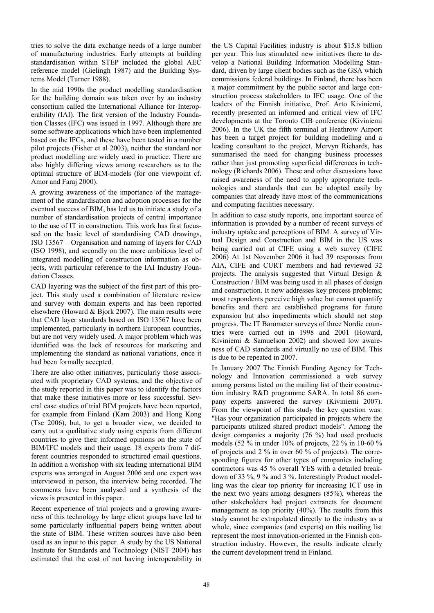tries to solve the data exchange needs of a large number of manufacturing industries. Early attempts at building standardisation within STEP included the global AEC reference model (Gielingh 1987) and the Building Systems Model (Turner 1988).

In the mid 1990s the product modelling standardisation for the building domain was taken over by an industry consortium called the International Alliance for Interoperability (IAI). The first version of the Industry Foundation Classes (IFC) was issued in 1997. Although there are some software applications which have been implemented based on the IFCs, and these have been tested in a number pilot projects (Fisher et al 2003), neither the standard nor product modelling are widely used in practice. There are also highly differing views among researchers as to the optimal structure of BIM-models (for one viewpoint cf. Amor and Faraj 2000).

A growing awareness of the importance of the management of the standardisation and adoption processes for the eventual success of BIM, has led us to initiate a study of a number of standardisation projects of central importance to the use of IT in construction. This work has first focussed on the basic level of standardising CAD drawings, ISO 13567 – Organisation and naming of layers for CAD (ISO 1998), and secondly on the more ambitious level of integrated modelling of construction information as objects, with particular reference to the IAI Industry Foundation Classes.

CAD layering was the subject of the first part of this project. This study used a combination of literature review and survey with domain experts and has been reported elsewhere (Howard & Bjork 2007). The main results were that CAD layer standards based on ISO 13567 have been implemented, particularly in northern European countries, but are not very widely used. A major problem which was identified was the lack of resources for marketing and implementing the standard as national variations, once it had been formally accepted.

There are also other initiatives, particularly those associated with proprietary CAD systems, and the objective of the study reported in this paper was to identify the factors that make these initiatives more or less successful. Several case studies of trial BIM projects have been reported, for example from Finland (Kam 2003) and Hong Kong (Tse 2006), but, to get a broader view, we decided to carry out a qualitative study using experts from different countries to give their informed opinions on the state of BIM/IFC models and their usage. 18 experts from 7 different countries responded to structured email questions. In addition a workshop with six leading international BIM experts was arranged in August 2006 and one expert was interviewed in person, the interview being recorded. The comments have been analysed and a synthesis of the views is presented in this paper.

Recent experience of trial projects and a growing awareness of this technology by large client groups have led to some particularly influential papers being written about the state of BIM. These written sources have also been used as an input to this paper. A study by the US National Institute for Standards and Technology (NIST 2004) has estimated that the cost of not having interoperability in the US Capital Facilities industry is about \$15.8 billion per year. This has stimulated new initiatives there to develop a National Building Information Modelling Standard, driven by large client bodies such as the GSA which commissions federal buildings. In Finland, there has been a major commitment by the public sector and large construction process stakeholders to IFC usage. One of the leaders of the Finnish initiative, Prof. Arto Kiviniemi, recently presented an informed and critical view of IFC developments at the Toronto CIB conference (Kiviniemi 2006). In the UK the fifth terminal at Heathrow Airport has been a target project for building modelling and a leading consultant to the project, Mervyn Richards, has summarised the need for changing business processes rather than just promoting superficial differences in technology (Richards 2006). These and other discussions have raised awareness of the need to apply appropriate technologies and standards that can be adopted easily by companies that already have most of the communications and computing facilities necessary.

In addition to case study reports, one important source of information is provided by a number of recent surveys of industry uptake and perceptions of BIM. A survey of Virtual Design and Construction and BIM in the US was being carried out at CIFE using a web survey (CIFE 2006) At 1st November 2006 it had 39 responses from AIA, CIFE and CURT members and had reviewed 32 projects. The analysis suggested that Virtual Design & Construction / BIM was being used in all phases of design and construction. It now addresses key process problems; most respondents perceive high value but cannot quantify benefits and there are established programs for future expansion but also impediments which should not stop progress. The IT Barometer surveys of three Nordic countries were carried out in 1998 and 2001 (Howard, Kiviniemi & Samuelson 2002) and showed low awareness of CAD standards and virtually no use of BIM. This is due to be repeated in 2007.

In January 2007 The Finnish Funding Agency for Technology and Innovation commissioned a web survey among persons listed on the mailing list of their construction industry R&D programme SARA. In total 86 company experts answered the survey (Kiviniemi 2007). From the viewpoint of this study the key question was: "Has your organization participated in projects where the participants utilized shared product models". Among the design companies a majority (76 %) had used products models (52 % in under 10% of projects, 22 % in 10-60 % of projects and 2 % in over 60 % of projects). The corresponding figures for other types of companies including contractors was 45 % overall YES with a detailed breakdown of 33 %, 9 % and 3 %. Interestingly Product modelling was the clear top priority for increasing ICT use in the next two years among designers (85%), whereas the other stakeholders had project extranets for document management as top priority (40%). The results from this study cannot be extrapolated directly to the industry as a whole, since companies (and experts) on this mailing list represent the most innovation-oriented in the Finnish construction industry. However, the results indicate clearly the current development trend in Finland.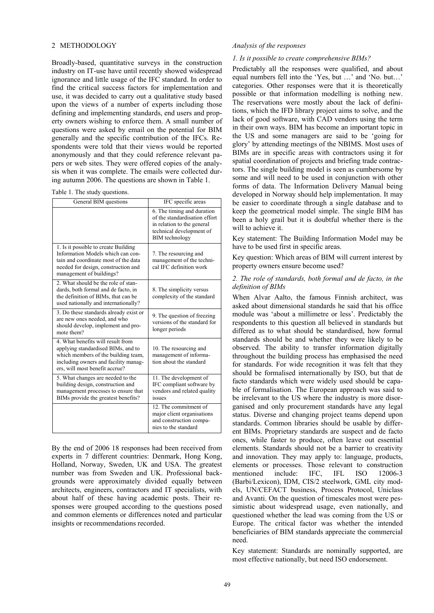# 2 METHODOLOGY

Broadly-based, quantitative surveys in the construction industry on IT-use have until recently showed widespread ignorance and little usage of the IFC standard. In order to find the critical success factors for implementation and use, it was decided to carry out a qualitative study based upon the views of a number of experts including those defining and implementing standards, end users and property owners wishing to enforce them. A small number of questions were asked by email on the potential for BIM generally and the specific contribution of the IFCs. Respondents were told that their views would be reported anonymously and that they could reference relevant papers or web sites. They were offered copies of the analysis when it was complete. The emails were collected during autumn 2006. The questions are shown in Table 1.

| Table 1. The study questions. |  |
|-------------------------------|--|
|-------------------------------|--|

| General BIM questions                                                                                                                                                                    | IFC specific areas                                                                                                                             |
|------------------------------------------------------------------------------------------------------------------------------------------------------------------------------------------|------------------------------------------------------------------------------------------------------------------------------------------------|
|                                                                                                                                                                                          | 6. The timing and duration<br>of the standardisation effort<br>in relation to the general<br>technical development of<br><b>BIM</b> technology |
| 1. Is it possible to create Building<br>Information Models which can con-<br>tain and coordinate most of the data<br>needed for design, construction and<br>management of buildings?     | 7. The resourcing and<br>management of the techni-<br>cal IFC definition work                                                                  |
| 2. What should be the role of stan-<br>dards, both formal and de facto, in<br>the definition of BIMs, that can be<br>used nationally and internationally?                                | 8. The simplicity versus<br>complexity of the standard                                                                                         |
| 3. Do these standards already exist or<br>are new ones needed, and who<br>should develop, implement and pro-<br>mote them?                                                               | 9. The question of freezing<br>versions of the standard for<br>longer periods                                                                  |
| 4. What benefits will result from<br>applying standardised BIMs, and to<br>which members of the building team,<br>including owners and facility manag-<br>ers, will most benefit accrue? | 10. The resourcing and<br>management of informa-<br>tion about the standard                                                                    |
| 5. What changes are needed to the<br>building design, construction and<br>management processes to ensure that<br>BIMs provide the greatest benefits?                                     | 11. The development of<br>IFC compliant software by<br>vendors and related quality<br>issues                                                   |
|                                                                                                                                                                                          | 12. The commitment of<br>major client organisations<br>and construction compa-<br>nies to the standard                                         |

By the end of 2006 18 responses had been received from experts in 7 different countries: Denmark, Hong Kong, Holland, Norway, Sweden, UK and USA. The greatest number was from Sweden and UK. Professional backgrounds were approximately divided equally between architects, engineers, contractors and IT specialists, with about half of these having academic posts. Their responses were grouped according to the questions posed and common elements or differences noted and particular insights or recommendations recorded.

#### *Analysis of the responses*

#### *1. Is it possible to create comprehensive BIMs?*

Predictably all the responses were qualified, and about equal numbers fell into the 'Yes, but …' and 'No. but…' categories. Other responses were that it is theoretically possible or that information modelling is nothing new. The reservations were mostly about the lack of definitions, which the IFD library project aims to solve, and the lack of good software, with CAD vendors using the term in their own ways. BIM has become an important topic in the US and some managers are said to be 'going for glory' by attending meetings of the NBIMS. Most uses of BIMs are in specific areas with contractors using it for spatial coordination of projects and briefing trade contractors. The single building model is seen as cumbersome by some and will need to be used in conjunction with other forms of data. The Information Delivery Manual being developed in Norway should help implementation. It may be easier to coordinate through a single database and to keep the geometrical model simple. The single BIM has been a holy grail but it is doubtful whether there is the will to achieve it.

Key statement: The Building Information Model may be have to be used first in specific areas.

Key question: Which areas of BIM will current interest by property owners ensure become used?

### *2. The role of standards, both formal and de facto, in the definition of BIMs*

When Alvar Aalto, the famous Finnish architect, was asked about dimensional standards he said that his office module was 'about a millimetre or less'. Predictably the respondents to this question all believed in standards but differed as to what should be standardised, how formal standards should be and whether they were likely to be observed. The ability to transfer information digitally throughout the building process has emphasised the need for standards. For wide recognition it was felt that they should be formalised internationally by ISO, but that de facto standards which were widely used should be capable of formalisation. The European approach was said to be irrelevant to the US where the industry is more disorganised and only procurement standards have any legal status. Diverse and changing project teams depend upon standards. Common libraries should be usable by different BIMs. Proprietary standards are suspect and de facto ones, while faster to produce, often leave out essential elements. Standards should not be a barrier to creativity and innovation. They may apply to: language, products, elements or processes. Those relevant to construction mentioned include: IFC, IFL ISO 12006-3 (Barbi/Lexicon), IDM, CIS/2 steelwork, GML city models, UN/CEFACT business, Process Protocol, Uniclass and Avanti. On the question of timescales most were pessimistic about widespread usage, even nationally, and questioned whether the lead was coming from the US or Europe. The critical factor was whether the intended beneficiaries of BIM standards appreciate the commercial need.

Key statement: Standards are nominally supported, are most effective nationally, but need ISO endorsement.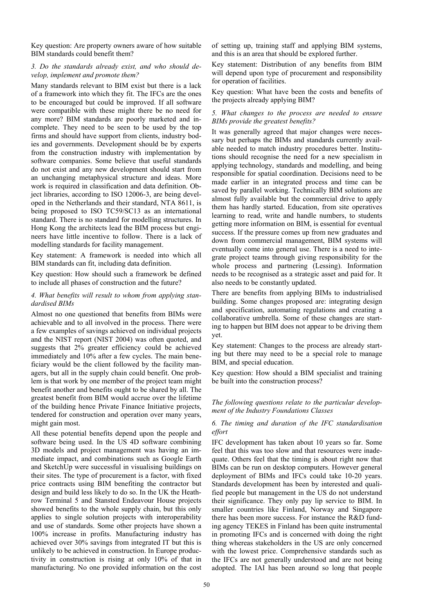Key question: Are property owners aware of how suitable BIM standards could benefit them?

### *3. Do the standards already exist, and who should develop, implement and promote them?*

Many standards relevant to BIM exist but there is a lack of a framework into which they fit. The IFCs are the ones to be encouraged but could be improved. If all software were compatible with these might there be no need for any more? BIM standards are poorly marketed and incomplete. They need to be seen to be used by the top firms and should have support from clients, industry bodies and governments. Development should be by experts from the construction industry with implementation by software companies. Some believe that useful standards do not exist and any new development should start from an unchanging metaphysical structure and ideas. More work is required in classification and data definition. Object libraries, according to ISO 12006-3, are being developed in the Netherlands and their standard, NTA 8611, is being proposed to ISO TC59/SC13 as an international standard. There is no standard for modelling structures. In Hong Kong the architects lead the BIM process but engineers have little incentive to follow. There is a lack of modelling standards for facility management.

Key statement: A framework is needed into which all BIM standards can fit, including data definition.

Key question: How should such a framework be defined to include all phases of construction and the future?

# *4. What benefits will result to whom from applying standardised BIMs*

Almost no one questioned that benefits from BIMs were achievable and to all involved in the process. There were a few examples of savings achieved on individual projects and the NIST report (NIST 2004) was often quoted, and suggests that 2% greater efficiency could be achieved immediately and 10% after a few cycles. The main beneficiary would be the client followed by the facility managers, but all in the supply chain could benefit. One problem is that work by one member of the project team might benefit another and benefits ought to be shared by all. The greatest benefit from BIM would accrue over the lifetime of the building hence Private Finance Initiative projects, tendered for construction and operation over many years, might gain most.

All these potential benefits depend upon the people and software being used. In the US 4D software combining 3D models and project management was having an immediate impact, and combinations such as Google Earth and SketchUp were successful in visualising buildings on their sites. The type of procurement is a factor, with fixed price contracts using BIM benefiting the contractor but design and build less likely to do so. In the UK the Heathrow Terminal 5 and Stansted Endeavour House projects showed benefits to the whole supply chain, but this only applies to single solution projects with interoperability and use of standards. Some other projects have shown a 100% increase in profits. Manufacturing industry has achieved over 30% savings from integrated IT but this is unlikely to be achieved in construction. In Europe productivity in construction is rising at only 10% of that in manufacturing. No one provided information on the cost of setting up, training staff and applying BIM systems, and this is an area that should be explored further.

Key statement: Distribution of any benefits from BIM will depend upon type of procurement and responsibility for operation of facilities.

Key question: What have been the costs and benefits of the projects already applying BIM?

# *5. What changes to the process are needed to ensure BIMs provide the greatest benefits?*

It was generally agreed that major changes were necessary but perhaps the BIMs and standards currently available needed to match industry procedures better. Institutions should recognise the need for a new specialism in applying technology, standards and modelling, and being responsible for spatial coordination. Decisions need to be made earlier in an integrated process and time can be saved by parallel working. Technically BIM solutions are almost fully available but the commercial drive to apply them has hardly started. Education, from site operatives learning to read, write and handle numbers, to students getting more information on BIM, is essential for eventual success. If the pressure comes up from new graduates and down from commercial management, BIM systems will eventually come into general use. There is a need to integrate project teams through giving responsibility for the whole process and partnering (Lessing). Information needs to be recognised as a strategic asset and paid for. It also needs to be constantly updated.

There are benefits from applying BIMs to industrialised building. Some changes proposed are: integrating design and specification, automating regulations and creating a collaborative umbrella. Some of these changes are starting to happen but BIM does not appear to be driving them yet.

Key statement: Changes to the process are already starting but there may need to be a special role to manage BIM, and special education.

Key question: How should a BIM specialist and training be built into the construction process?

# *The following questions relate to the particular development of the Industry Foundations Classes*

### *6. The timing and duration of the IFC standardisation effort*

IFC development has taken about 10 years so far. Some feel that this was too slow and that resources were inadequate. Others feel that the timing is about right now that BIMs can be run on desktop computers. However general deployment of BIMs and IFCs could take 10-20 years. Standards development has been by interested and qualified people but management in the US do not understand their significance. They only pay lip service to BIM. In smaller countries like Finland, Norway and Singapore there has been more success. For instance the R&D funding agency TEKES in Finland has been quite instrumental in promoting IFCs and is concerned with doing the right thing whereas stakeholders in the US are only concerned with the lowest price. Comprehensive standards such as the IFCs are not generally understood and are not being adopted. The IAI has been around so long that people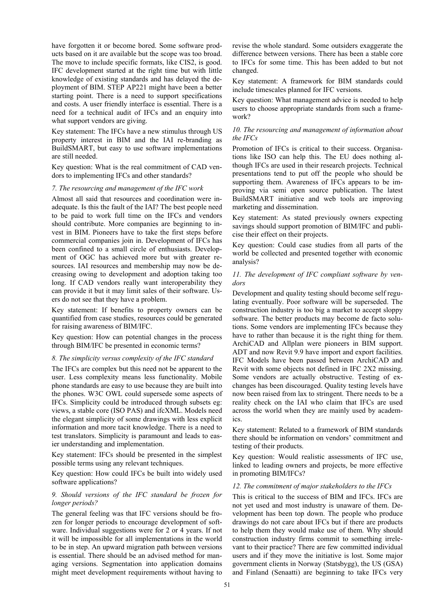have forgotten it or become bored. Some software products based on it are available but the scope was too broad. The move to include specific formats, like CIS2, is good. IFC development started at the right time but with little knowledge of existing standards and has delayed the deployment of BIM. STEP AP221 might have been a better starting point. There is a need to support specifications and costs. A user friendly interface is essential. There is a need for a technical audit of IFCs and an enquiry into what support vendors are giving.

Key statement: The IFCs have a new stimulus through US property interest in BIM and the IAI re-branding as BuildSMART, but easy to use software implementations are still needed.

Key question: What is the real commitment of CAD vendors to implementing IFCs and other standards?

# *7. The resourcing and management of the IFC work*

Almost all said that resources and coordination were inadequate. Is this the fault of the IAI? The best people need to be paid to work full time on the IFCs and vendors should contribute. More companies are beginning to invest in BIM. Pioneers have to take the first steps before commercial companies join in. Development of IFCs has been confined to a small circle of enthusiasts. Development of OGC has achieved more but with greater resources. IAI resources and membership may now be decreasing owing to development and adoption taking too long. If CAD vendors really want interoperability they can provide it but it may limit sales of their software. Users do not see that they have a problem.

Key statement: If benefits to property owners can be quantified from case studies, resources could be generated for raising awareness of BIM/IFC.

Key question: How can potential changes in the process through BIM/IFC be presented in economic terms?

#### *8. The simplicity versus complexity of the IFC standard*

The IFCs are complex but this need not be apparent to the user. Less complexity means less functionality. Mobile phone standards are easy to use because they are built into the phones. W3C OWL could supersede some aspects of IFCs. Simplicity could be introduced through subsets eg: views, a stable core (ISO PAS) and ifcXML. Models need the elegant simplicity of some drawings with less explicit information and more tacit knowledge. There is a need to test translators. Simplicity is paramount and leads to easier understanding and implementation.

Key statement: IFCs should be presented in the simplest possible terms using any relevant techniques.

Key question: How could IFCs be built into widely used software applications?

### *9. Should versions of the IFC standard be frozen for longer periods?*

The general feeling was that IFC versions should be frozen for longer periods to encourage development of software. Individual suggestions were for 2 or 4 years. If not it will be impossible for all implementations in the world to be in step. An upward migration path between versions is essential. There should be an advised method for managing versions. Segmentation into application domains might meet development requirements without having to revise the whole standard. Some outsiders exaggerate the difference between versions. There has been a stable core to IFCs for some time. This has been added to but not changed.

Key statement: A framework for BIM standards could include timescales planned for IFC versions.

Key question: What management advice is needed to help users to choose appropriate standards from such a framework?

#### *10. The resourcing and management of information about the IFCs*

Promotion of IFCs is critical to their success. Organisations like ISO can help this. The EU does nothing although IFCs are used in their research projects. Technical presentations tend to put off the people who should be supporting them. Awareness of IFCs appears to be improving via semi open source publication. The latest BuildSMART initiative and web tools are improving marketing and dissemination.

Key statement: As stated previously owners expecting savings should support promotion of BIM/IFC and publicise their effect on their projects.

Key question: Could case studies from all parts of the world be collected and presented together with economic analysis?

# *11. The development of IFC compliant software by vendors*

Development and quality testing should become self regulating eventually. Poor software will be superseded. The construction industry is too big a market to accept sloppy software. The better products may become de facto solutions. Some vendors are implementing IFCs because they have to rather than because it is the right thing for them. ArchiCAD and Allplan were pioneers in BIM support. ADT and now Revit 9.9 have import and export facilities. IFC Models have been passed between ArchiCAD and Revit with some objects not defined in IFC 2X2 missing. Some vendors are actually obstructive. Testing of exchanges has been discouraged. Quality testing levels have now been raised from lax to stringent. There needs to be a reality check on the IAI who claim that IFCs are used across the world when they are mainly used by academics.

Key statement: Related to a framework of BIM standards there should be information on vendors' commitment and testing of their products.

Key question: Would realistic assessments of IFC use, linked to leading owners and projects, be more effective in promoting BIM/IFCs?

#### *12. The commitment of major stakeholders to the IFCs*

This is critical to the success of BIM and IFCs. IFCs are not yet used and most industry is unaware of them. Development has been top down. The people who produce drawings do not care about IFCs but if there are products to help them they would make use of them. Why should construction industry firms commit to something irrelevant to their practice? There are few committed individual users and if they move the initiative is lost. Some major government clients in Norway (Statsbygg), the US (GSA) and Finland (Senaatti) are beginning to take IFCs very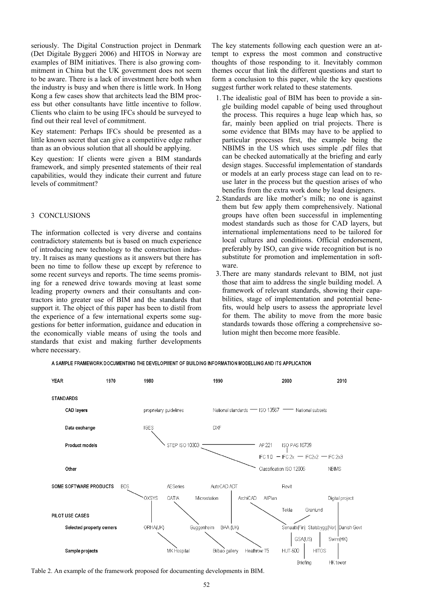seriously. The Digital Construction project in Denmark (Det Digitale Byggeri 2006) and HITOS in Norway are examples of BIM initiatives. There is also growing commitment in China but the UK government does not seem to be aware. There is a lack of investment here both when the industry is busy and when there is little work. In Hong Kong a few cases show that architects lead the BIM process but other consultants have little incentive to follow. Clients who claim to be using IFCs should be surveyed to find out their real level of commitment.

Key statement: Perhaps IFCs should be presented as a little known secret that can give a competitive edge rather than as an obvious solution that all should be applying.

Key question: If clients were given a BIM standards framework, and simply presented statements of their real capabilities, would they indicate their current and future levels of commitment?

# 3 CONCLUSIONS

The information collected is very diverse and contains contradictory statements but is based on much experience of introducing new technology to the construction industry. It raises as many questions as it answers but there has been no time to follow these up except by reference to some recent surveys and reports. The time seems promising for a renewed drive towards moving at least some leading property owners and their consultants and contractors into greater use of BIM and the standards that support it. The object of this paper has been to distil from the experience of a few international experts some suggestions for better information, guidance and education in the economically viable means of using the tools and standards that exist and making further developments where necessary.

The key statements following each question were an attempt to express the most common and constructive thoughts of those responding to it. Inevitably common themes occur that link the different questions and start to form a conclusion to this paper, while the key questions suggest further work related to these statements.

- 1.The idealistic goal of BIM has been to provide a single building model capable of being used throughout the process. This requires a huge leap which has, so far, mainly been applied on trial projects. There is some evidence that BIMs may have to be applied to particular processes first, the example being the NBIMS in the US which uses simple .pdf files that can be checked automatically at the briefing and early design stages. Successful implementation of standards or models at an early process stage can lead on to reuse later in the process but the question arises of who benefits from the extra work done by lead designers.
- 2.Standards are like mother's milk; no one is against them but few apply them comprehensively. National groups have often been successful in implementing modest standards such as those for CAD layers, but international implementations need to be tailored for local cultures and conditions. Official endorsement, preferably by ISO, can give wide recognition but is no substitute for promotion and implementation in software.
- 3.There are many standards relevant to BIM, not just those that aim to address the single building model. A framework of relevant standards, showing their capabilities, stage of implementation and potential benefits, would help users to assess the appropriate level for them. The ability to move from the more basic standards towards those offering a comprehensive solution might then become more feasible.



A SAMPLE FRAMEWORK DOCUMENTING THE DEVELOPMENT OF BUILDING INFORMATION MODELLING AND ITS APPLICATION

Table 2. An example of the framework proposed for documenting developments in BIM.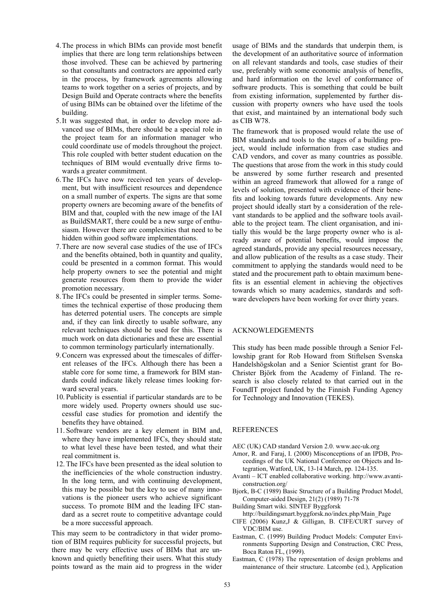- 4.The process in which BIMs can provide most benefit implies that there are long term relationships between those involved. These can be achieved by partnering so that consultants and contractors are appointed early in the process, by framework agreements allowing teams to work together on a series of projects, and by Design Build and Operate contracts where the benefits of using BIMs can be obtained over the lifetime of the building.
- 5.It was suggested that, in order to develop more advanced use of BIMs, there should be a special role in the project team for an information manager who could coordinate use of models throughout the project. This role coupled with better student education on the techniques of BIM would eventually drive firms towards a greater commitment.
- 6.The IFCs have now received ten years of development, but with insufficient resources and dependence on a small number of experts. The signs are that some property owners are becoming aware of the benefits of BIM and that, coupled with the new image of the IAI as BuildSMART, there could be a new surge of enthusiasm. However there are complexities that need to be hidden within good software implementations.
- 7.There are now several case studies of the use of IFCs and the benefits obtained, both in quantity and quality, could be presented in a common format. This would help property owners to see the potential and might generate resources from them to provide the wider promotion necessary.
- 8.The IFCs could be presented in simpler terms. Sometimes the technical expertise of those producing them has deterred potential users. The concepts are simple and, if they can link directly to usable software, any relevant techniques should be used for this. There is much work on data dictionaries and these are essential to common terminology particularly internationally.
- 9.Concern was expressed about the timescales of different releases of the IFCs. Although there has been a stable core for some time, a framework for BIM standards could indicate likely release times looking forward several years.
- 10. Publicity is essential if particular standards are to be more widely used. Property owners should use successful case studies for promotion and identify the benefits they have obtained.
- 11. Software vendors are a key element in BIM and, where they have implemented IFCs, they should state to what level these have been tested, and what their real commitment is.
- 12. The IFCs have been presented as the ideal solution to the inefficiencies of the whole construction industry. In the long term, and with continuing development, this may be possible but the key to use of many innovations is the pioneer users who achieve significant success. To promote BIM and the leading IFC standard as a secret route to competitive advantage could be a more successful approach.

This may seem to be contradictory in that wider promotion of BIM requires publicity for successful projects, but there may be very effective uses of BIMs that are unknown and quietly benefiting their users. What this study points toward as the main aid to progress in the wider

usage of BIMs and the standards that underpin them, is the development of an authoritative source of information on all relevant standards and tools, case studies of their use, preferably with some economic analysis of benefits, and hard information on the level of conformance of software products. This is something that could be built from existing information, supplemented by further discussion with property owners who have used the tools that exist, and maintained by an international body such as CIB W78.

The framework that is proposed would relate the use of BIM standards and tools to the stages of a building project, would include information from case studies and CAD vendors, and cover as many countries as possible. The questions that arose from the work in this study could be answered by some further research and presented within an agreed framework that allowed for a range of levels of solution, presented with evidence of their benefits and looking towards future developments. Any new project should ideally start by a consideration of the relevant standards to be applied and the software tools available to the project team. The client organisation, and initially this would be the large property owner who is already aware of potential benefits, would impose the agreed standards, provide any special resources necessary, and allow publication of the results as a case study. Their commitment to applying the standards would need to be stated and the procurement path to obtain maximum benefits is an essential element in achieving the objectives towards which so many academics, standards and software developers have been working for over thirty years.

#### ACKNOWLEDGEMENTS

This study has been made possible through a Senior Fellowship grant for Rob Howard from Stiftelsen Svenska Handelshögskolan and a Senior Scientist grant for Bo-Christer Björk from the Academy of Finland. The research is also closely related to that carried out in the FoundIT project funded by the Finnish Funding Agency for Technology and Innovation (TEKES).

#### **REFERENCES**

- AEC (UK) CAD standard Version 2.0. www.aec-uk.org
- Amor, R. and Faraj, I. (2000) Misconceptions of an IPDB, Proceedings of the UK National Conference on Objects and Integration, Watford, UK, 13-14 March, pp. 124-135.
- Avanti ICT enabled collaborative working. http://www.avanticonstruction.org/
- Bjork, B-C (1989) Basic Structure of a Building Product Model, Computer-aided Design, 21(2) (1989) 71-78
- Building Smart wiki. SINTEF Byggforsk
- http://buildingsmart.byggforsk.no/index.php/Main\_Page
- CIFE (2006) Kunz,J & Gilligan, B. CIFE/CURT survey of VDC/BIM use.
- Eastman, C. (1999) Building Product Models: Computer Environments Supporting Design and Construction, CRC Press, Boca Raton FL, (1999).
- Eastman, C (1978) The representation of design problems and maintenance of their structure. Latcombe (ed.), Application